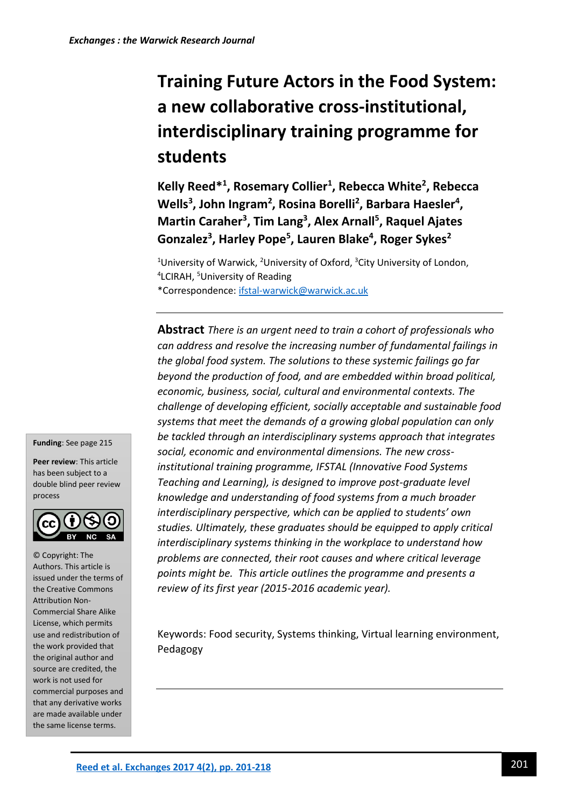# **Training Future Actors in the Food System: a new collaborative cross-institutional, interdisciplinary training programme for students**

**Kelly Reed\*<sup>1</sup> , Rosemary Collier<sup>1</sup> , Rebecca White<sup>2</sup> , Rebecca**  Wells<sup>3</sup>, John Ingram<sup>2</sup>, Rosina Borelli<sup>2</sup>, Barbara Haesler<sup>4</sup>, **Martin Caraher<sup>3</sup> , Tim Lang<sup>3</sup> , Alex Arnall<sup>5</sup> , Raquel Ajates Gonzalez<sup>3</sup> , Harley Pope<sup>5</sup> , Lauren Blake<sup>4</sup> , Roger Sykes<sup>2</sup>**

<sup>1</sup>University of Warwick, <sup>2</sup>University of Oxford, <sup>3</sup>City University of London, <sup>4</sup>LCIRAH, <sup>5</sup>University of Reading \*Correspondence[: ifstal-warwick@warwick.ac.uk](mailto:ifstal-warwick@warwick.ac.uk)

**Abstract** *There is an urgent need to train a cohort of professionals who can address and resolve the increasing number of fundamental failings in the global food system. The solutions to these systemic failings go far beyond the production of food, and are embedded within broad political, economic, business, social, cultural and environmental contexts. The challenge of developing efficient, socially acceptable and sustainable food systems that meet the demands of a growing global population can only be tackled through an interdisciplinary systems approach that integrates social, economic and environmental dimensions. The new crossinstitutional training programme, IFSTAL (Innovative Food Systems Teaching and Learning), is designed to improve post-graduate level knowledge and understanding of food systems from a much broader interdisciplinary perspective, which can be applied to students' own studies. Ultimately, these graduates should be equipped to apply critical interdisciplinary systems thinking in the workplace to understand how problems are connected, their root causes and where critical leverage points might be. This article outlines the programme and presents a review of its first year (2015-2016 academic year).*

Keywords: Food security, Systems thinking, Virtual learning environment, Pedagogy

**Funding**: See page 215

**Peer review**: This article has been subject to a double blind peer review process



© Copyright: The Authors. This article is issued under the terms of the Creative Commons Attribution Non-Commercial Share Alike License, which permits use and redistribution of the work provided that the original author and source are credited, the work is not used for commercial purposes and that any derivative works are made available under the same license terms.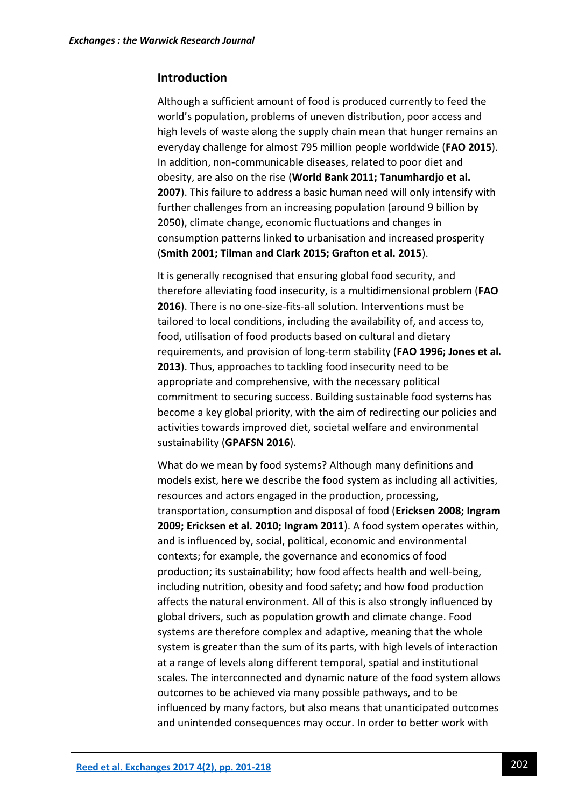## **Introduction**

Although a sufficient amount of food is produced currently to feed the world's population, problems of uneven distribution, poor access and high levels of waste along the supply chain mean that hunger remains an everyday challenge for almost 795 million people worldwide (**FAO 2015**). In addition, non-communicable diseases, related to poor diet and obesity, are also on the rise (**World Bank 2011; Tanumhardjo et al. 2007**). This failure to address a basic human need will only intensify with further challenges from an increasing population (around 9 billion by 2050), climate change, economic fluctuations and changes in consumption patterns linked to urbanisation and increased prosperity (**Smith 2001; Tilman and Clark 2015; Grafton et al. 2015**).

It is generally recognised that ensuring global food security, and therefore alleviating food insecurity, is a multidimensional problem (**FAO 2016**). There is no one-size-fits-all solution. Interventions must be tailored to local conditions, including the availability of, and access to, food, utilisation of food products based on cultural and dietary requirements, and provision of long-term stability (**FAO 1996; Jones et al. 2013**). Thus, approaches to tackling food insecurity need to be appropriate and comprehensive, with the necessary political commitment to securing success. Building sustainable food systems has become a key global priority, with the aim of redirecting our policies and activities towards improved diet, societal welfare and environmental sustainability (**GPAFSN 2016**).

What do we mean by food systems? Although many definitions and models exist, here we describe the food system as including all activities, resources and actors engaged in the production, processing, transportation, consumption and disposal of food (**Ericksen 2008; Ingram 2009; Ericksen et al. 2010; Ingram 2011**). A food system operates within, and is influenced by, social, political, economic and environmental contexts; for example, the governance and economics of food production; its sustainability; how food affects health and well-being, including nutrition, obesity and food safety; and how food production affects the natural environment. All of this is also strongly influenced by global drivers, such as population growth and climate change. Food systems are therefore complex and adaptive, meaning that the whole system is greater than the sum of its parts, with high levels of interaction at a range of levels along different temporal, spatial and institutional scales. The interconnected and dynamic nature of the food system allows outcomes to be achieved via many possible pathways, and to be influenced by many factors, but also means that unanticipated outcomes and unintended consequences may occur. In order to better work with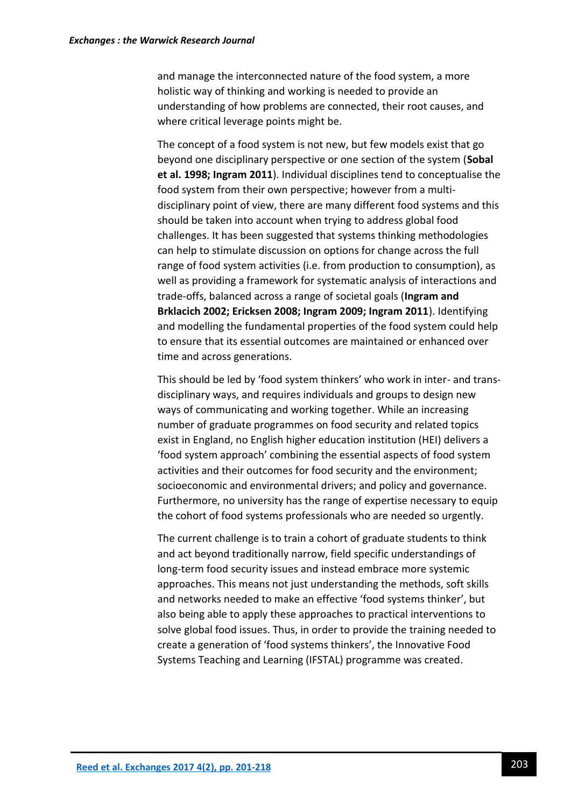and manage the interconnected nature of the food system, a more holistic way of thinking and working is needed to provide an understanding of how problems are connected, their root causes, and where critical leverage points might be.

The concept of a food system is not new, but few models exist that go beyond one disciplinary perspective or one section of the system (**Sobal et al. 1998; Ingram 2011**). Individual disciplines tend to conceptualise the food system from their own perspective; however from a multidisciplinary point of view, there are many different food systems and this should be taken into account when trying to address global food challenges. It has been suggested that systems thinking methodologies can help to stimulate discussion on options for change across the full range of food system activities (i.e. from production to consumption), as well as providing a framework for systematic analysis of interactions and trade-offs, balanced across a range of societal goals (**Ingram and Brklacich 2002; Ericksen 2008; Ingram 2009; Ingram 2011**). Identifying and modelling the fundamental properties of the food system could help to ensure that its essential outcomes are maintained or enhanced over time and across generations.

This should be led by 'food system thinkers' who work in inter- and transdisciplinary ways, and requires individuals and groups to design new ways of communicating and working together. While an increasing number of graduate programmes on food security and related topics exist in England, no English higher education institution (HEI) delivers a 'food system approach' combining the essential aspects of food system activities and their outcomes for food security and the environment; socioeconomic and environmental drivers; and policy and governance. Furthermore, no university has the range of expertise necessary to equip the cohort of food systems professionals who are needed so urgently.

The current challenge is to train a cohort of graduate students to think and act beyond traditionally narrow, field specific understandings of long-term food security issues and instead embrace more systemic approaches. This means not just understanding the methods, soft skills and networks needed to make an effective 'food systems thinker', but also being able to apply these approaches to practical interventions to solve global food issues. Thus, in order to provide the training needed to create a generation of 'food systems thinkers', the Innovative Food Systems Teaching and Learning (IFSTAL) programme was created.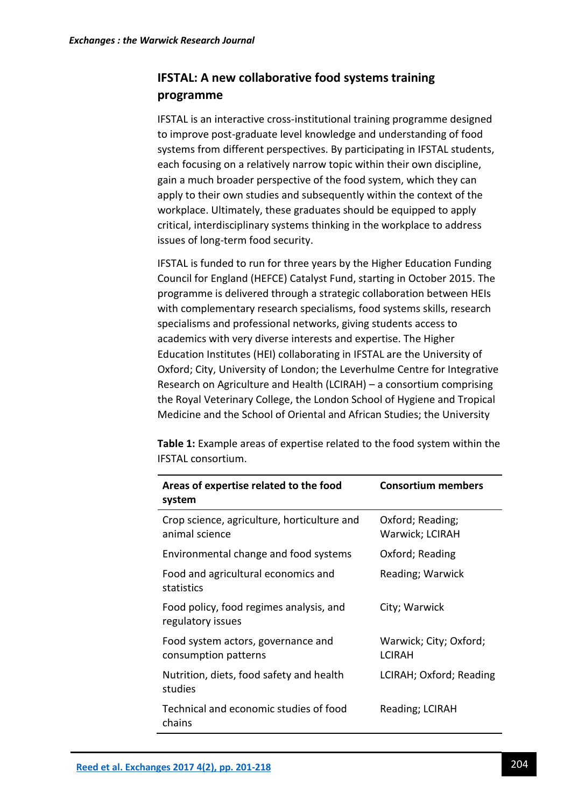# **IFSTAL: A new collaborative food systems training programme**

IFSTAL is an interactive cross-institutional training programme designed to improve post-graduate level knowledge and understanding of food systems from different perspectives. By participating in IFSTAL students, each focusing on a relatively narrow topic within their own discipline, gain a much broader perspective of the food system, which they can apply to their own studies and subsequently within the context of the workplace. Ultimately, these graduates should be equipped to apply critical, interdisciplinary systems thinking in the workplace to address issues of long-term food security.

IFSTAL is funded to run for three years by the Higher Education Funding Council for England (HEFCE) Catalyst Fund, starting in October 2015. The programme is delivered through a strategic collaboration between HEIs with complementary research specialisms, food systems skills, research specialisms and professional networks, giving students access to academics with very diverse interests and expertise. The Higher Education Institutes (HEI) collaborating in IFSTAL are the University of Oxford; City, University of London; the Leverhulme Centre for Integrative Research on Agriculture and Health (LCIRAH) – a consortium comprising the Royal Veterinary College, the London School of Hygiene and Tropical Medicine and the School of Oriental and African Studies; the University

**Table 1:** Example areas of expertise related to the food system within the IFSTAL consortium.

| Areas of expertise related to the food<br>system              | <b>Consortium members</b>               |
|---------------------------------------------------------------|-----------------------------------------|
| Crop science, agriculture, horticulture and<br>animal science | Oxford; Reading;<br>Warwick; LCIRAH     |
| Environmental change and food systems                         | Oxford; Reading                         |
| Food and agricultural economics and<br>statistics             | Reading; Warwick                        |
| Food policy, food regimes analysis, and<br>regulatory issues  | City; Warwick                           |
| Food system actors, governance and<br>consumption patterns    | Warwick; City; Oxford;<br><b>LCIRAH</b> |
| Nutrition, diets, food safety and health<br>studies           | LCIRAH; Oxford; Reading                 |
| Technical and economic studies of food<br>chains              | Reading; LCIRAH                         |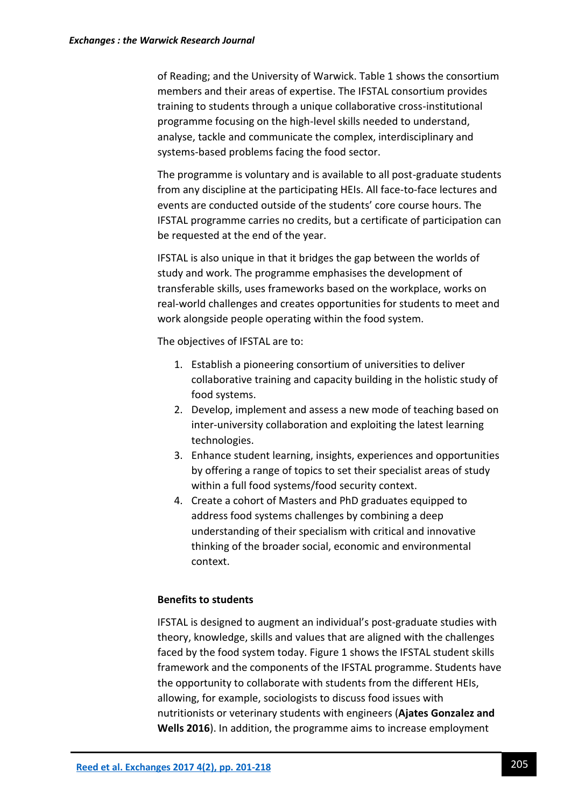of Reading; and the University of Warwick. Table 1 shows the consortium members and their areas of expertise. The IFSTAL consortium provides training to students through a unique collaborative cross-institutional programme focusing on the high-level skills needed to understand, analyse, tackle and communicate the complex, interdisciplinary and systems-based problems facing the food sector.

The programme is voluntary and is available to all post-graduate students from any discipline at the participating HEIs. All face-to-face lectures and events are conducted outside of the students' core course hours. The IFSTAL programme carries no credits, but a certificate of participation can be requested at the end of the year.

IFSTAL is also unique in that it bridges the gap between the worlds of study and work. The programme emphasises the development of transferable skills, uses frameworks based on the workplace, works on real-world challenges and creates opportunities for students to meet and work alongside people operating within the food system.

The objectives of IFSTAL are to:

- 1. Establish a pioneering consortium of universities to deliver collaborative training and capacity building in the holistic study of food systems.
- 2. Develop, implement and assess a new mode of teaching based on inter-university collaboration and exploiting the latest learning technologies.
- 3. Enhance student learning, insights, experiences and opportunities by offering a range of topics to set their specialist areas of study within a full food systems/food security context.
- 4. Create a cohort of Masters and PhD graduates equipped to address food systems challenges by combining a deep understanding of their specialism with critical and innovative thinking of the broader social, economic and environmental context.

## **Benefits to students**

IFSTAL is designed to augment an individual's post-graduate studies with theory, knowledge, skills and values that are aligned with the challenges faced by the food system today. Figure 1 shows the IFSTAL student skills framework and the components of the IFSTAL programme. Students have the opportunity to collaborate with students from the different HEIs, allowing, for example, sociologists to discuss food issues with nutritionists or veterinary students with engineers (**Ajates Gonzalez and Wells 2016**). In addition, the programme aims to increase employment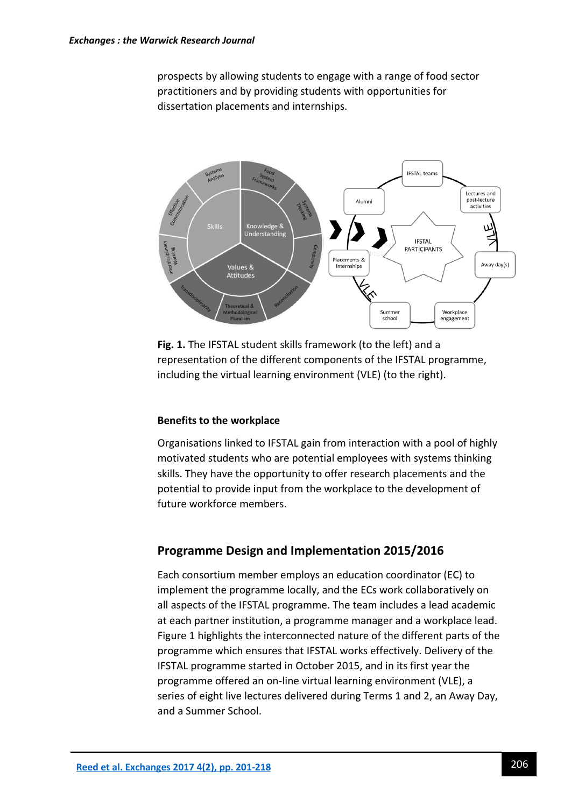prospects by allowing students to engage with a range of food sector practitioners and by providing students with opportunities for dissertation placements and internships.



**Fig. 1.** The IFSTAL student skills framework (to the left) and a representation of the different components of the IFSTAL programme, including the virtual learning environment (VLE) (to the right).

#### **Benefits to the workplace**

Organisations linked to IFSTAL gain from interaction with a pool of highly motivated students who are potential employees with systems thinking skills. They have the opportunity to offer research placements and the potential to provide input from the workplace to the development of future workforce members.

# **Programme Design and Implementation 2015/2016**

Each consortium member employs an education coordinator (EC) to implement the programme locally, and the ECs work collaboratively on all aspects of the IFSTAL programme. The team includes a lead academic at each partner institution, a programme manager and a workplace lead. Figure 1 highlights the interconnected nature of the different parts of the programme which ensures that IFSTAL works effectively. Delivery of the IFSTAL programme started in October 2015, and in its first year the programme offered an on-line virtual learning environment (VLE), a series of eight live lectures delivered during Terms 1 and 2, an Away Day, and a Summer School.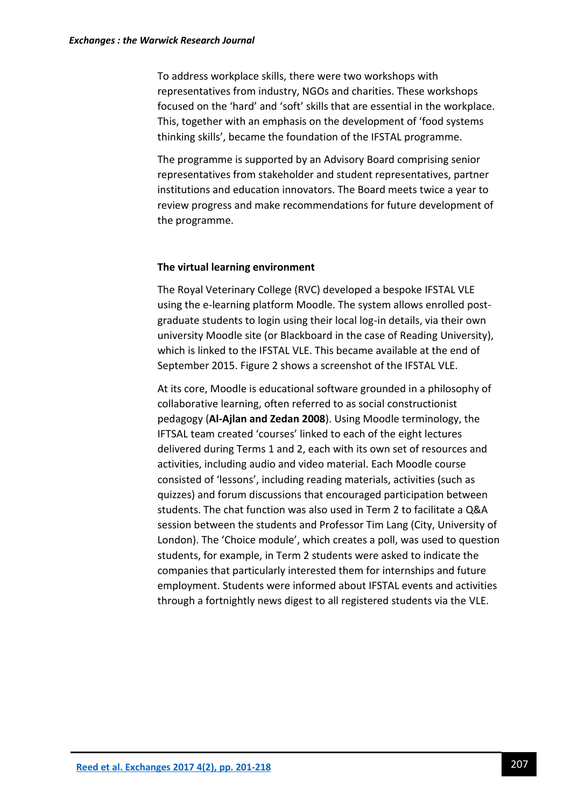To address workplace skills, there were two workshops with representatives from industry, NGOs and charities. These workshops focused on the 'hard' and 'soft' skills that are essential in the workplace. This, together with an emphasis on the development of 'food systems thinking skills', became the foundation of the IFSTAL programme.

The programme is supported by an Advisory Board comprising senior representatives from stakeholder and student representatives, partner institutions and education innovators. The Board meets twice a year to review progress and make recommendations for future development of the programme.

#### **The virtual learning environment**

The Royal Veterinary College (RVC) developed a bespoke IFSTAL VLE using the e-learning platform Moodle. The system allows enrolled postgraduate students to login using their local log-in details, via their own university Moodle site (or Blackboard in the case of Reading University), which is linked to the IFSTAL VLE. This became available at the end of September 2015. Figure 2 shows a screenshot of the IFSTAL VLE.

At its core, Moodle is educational software grounded in a philosophy of collaborative learning, often referred to as social constructionist pedagogy (**Al-Ajlan and Zedan 2008**). Using Moodle terminology, the IFTSAL team created 'courses' linked to each of the eight lectures delivered during Terms 1 and 2, each with its own set of resources and activities, including audio and video material. Each Moodle course consisted of 'lessons', including reading materials, activities (such as quizzes) and forum discussions that encouraged participation between students. The chat function was also used in Term 2 to facilitate a Q&A session between the students and Professor Tim Lang (City, University of London). The 'Choice module', which creates a poll, was used to question students, for example, in Term 2 students were asked to indicate the companies that particularly interested them for internships and future employment. Students were informed about IFSTAL events and activities through a fortnightly news digest to all registered students via the VLE.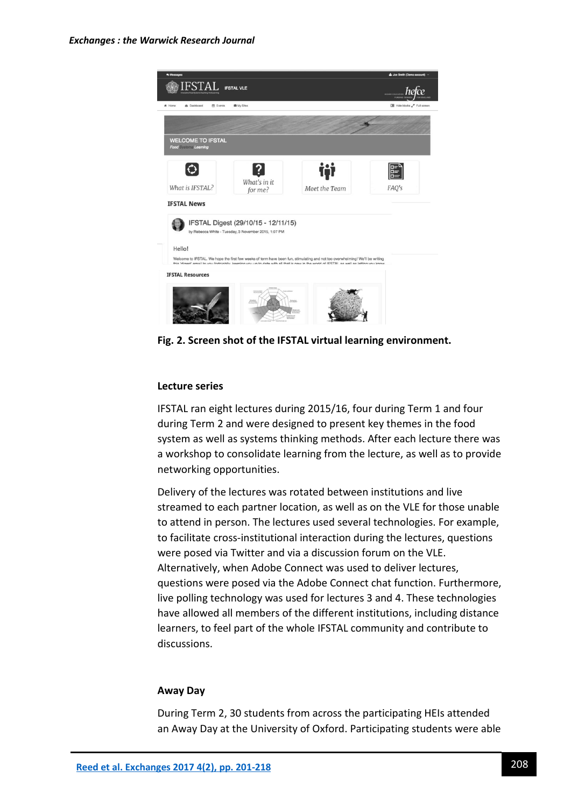

**Fig. 2. Screen shot of the IFSTAL virtual learning environment.**

#### **Lecture series**

IFSTAL ran eight lectures during 2015/16, four during Term 1 and four during Term 2 and were designed to present key themes in the food system as well as systems thinking methods. After each lecture there was a workshop to consolidate learning from the lecture, as well as to provide networking opportunities.

Delivery of the lectures was rotated between institutions and live streamed to each partner location, as well as on the VLE for those unable to attend in person. The lectures used several technologies. For example, to facilitate cross-institutional interaction during the lectures, questions were posed via Twitter and via a discussion forum on the VLE. Alternatively, when Adobe Connect was used to deliver lectures, questions were posed via the Adobe Connect chat function. Furthermore, live polling technology was used for lectures 3 and 4. These technologies have allowed all members of the different institutions, including distance learners, to feel part of the whole IFSTAL community and contribute to discussions.

#### **Away Day**

During Term 2, 30 students from across the participating HEIs attended an Away Day at the University of Oxford. Participating students were able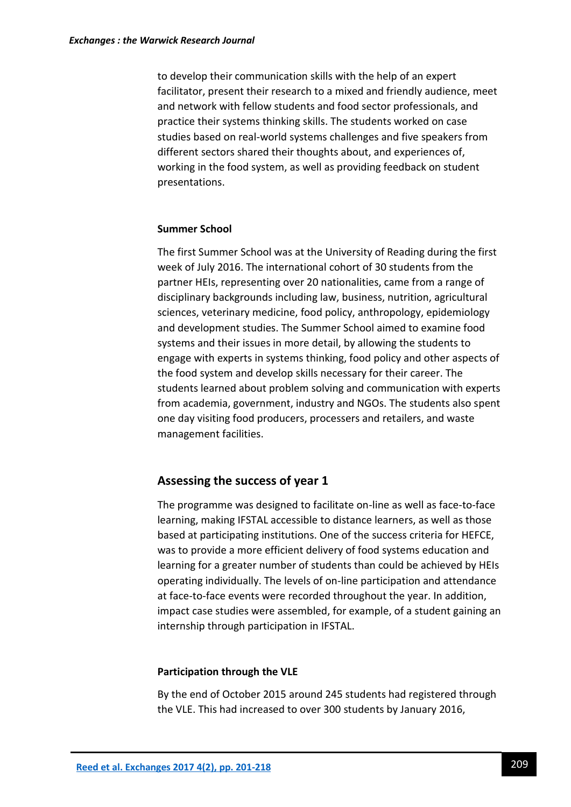to develop their communication skills with the help of an expert facilitator, present their research to a mixed and friendly audience, meet and network with fellow students and food sector professionals, and practice their systems thinking skills. The students worked on case studies based on real-world systems challenges and five speakers from different sectors shared their thoughts about, and experiences of, working in the food system, as well as providing feedback on student presentations.

#### **Summer School**

The first Summer School was at the University of Reading during the first week of July 2016. The international cohort of 30 students from the partner HEIs, representing over 20 nationalities, came from a range of disciplinary backgrounds including law, business, nutrition, agricultural sciences, veterinary medicine, food policy, anthropology, epidemiology and development studies. The Summer School aimed to examine food systems and their issues in more detail, by allowing the students to engage with experts in systems thinking, food policy and other aspects of the food system and develop skills necessary for their career. The students learned about problem solving and communication with experts from academia, government, industry and NGOs. The students also spent one day visiting food producers, processers and retailers, and waste management facilities.

## **Assessing the success of year 1**

The programme was designed to facilitate on-line as well as face-to-face learning, making IFSTAL accessible to distance learners, as well as those based at participating institutions. One of the success criteria for HEFCE, was to provide a more efficient delivery of food systems education and learning for a greater number of students than could be achieved by HEIs operating individually. The levels of on-line participation and attendance at face-to-face events were recorded throughout the year. In addition, impact case studies were assembled, for example, of a student gaining an internship through participation in IFSTAL.

#### **Participation through the VLE**

By the end of October 2015 around 245 students had registered through the VLE. This had increased to over 300 students by January 2016,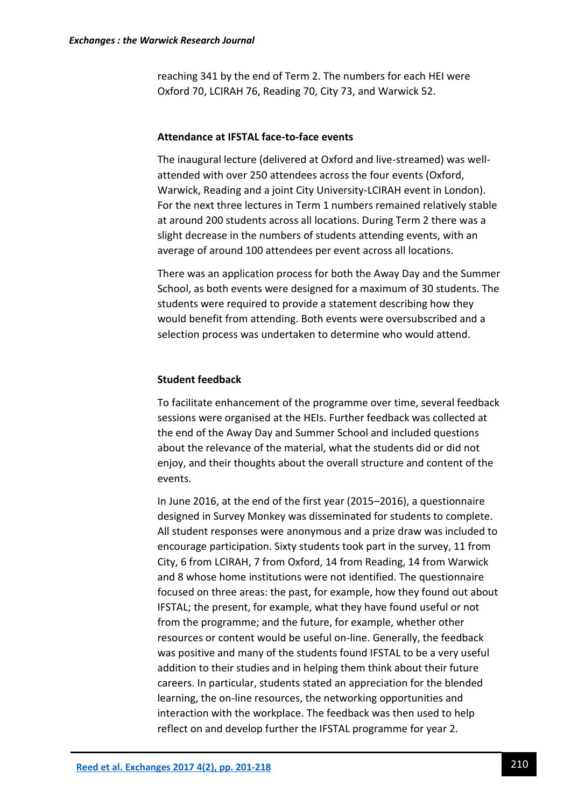reaching 341 by the end of Term 2. The numbers for each HEI were Oxford 70, LCIRAH 76, Reading 70, City 73, and Warwick 52.

#### **Attendance at IFSTAL face-to-face events**

The inaugural lecture (delivered at Oxford and live-streamed) was wellattended with over 250 attendees across the four events (Oxford, Warwick, Reading and a joint City University-LCIRAH event in London). For the next three lectures in Term 1 numbers remained relatively stable at around 200 students across all locations. During Term 2 there was a slight decrease in the numbers of students attending events, with an average of around 100 attendees per event across all locations.

There was an application process for both the Away Day and the Summer School, as both events were designed for a maximum of 30 students. The students were required to provide a statement describing how they would benefit from attending. Both events were oversubscribed and a selection process was undertaken to determine who would attend.

#### **Student feedback**

To facilitate enhancement of the programme over time, several feedback sessions were organised at the HEIs. Further feedback was collected at the end of the Away Day and Summer School and included questions about the relevance of the material, what the students did or did not enjoy, and their thoughts about the overall structure and content of the events.

In June 2016, at the end of the first year (2015–2016), a questionnaire designed in Survey Monkey was disseminated for students to complete. All student responses were anonymous and a prize draw was included to encourage participation. Sixty students took part in the survey, 11 from City, 6 from LCIRAH, 7 from Oxford, 14 from Reading, 14 from Warwick and 8 whose home institutions were not identified. The questionnaire focused on three areas: the past, for example, how they found out about IFSTAL; the present, for example, what they have found useful or not from the programme; and the future, for example, whether other resources or content would be useful on-line. Generally, the feedback was positive and many of the students found IFSTAL to be a very useful addition to their studies and in helping them think about their future careers. In particular, students stated an appreciation for the blended learning, the on-line resources, the networking opportunities and interaction with the workplace. The feedback was then used to help reflect on and develop further the IFSTAL programme for year 2.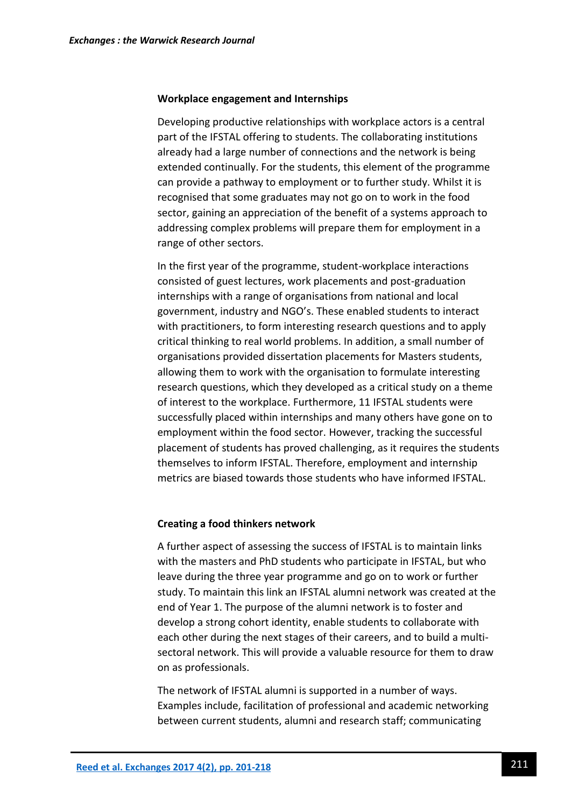#### **Workplace engagement and Internships**

Developing productive relationships with workplace actors is a central part of the IFSTAL offering to students. The collaborating institutions already had a large number of connections and the network is being extended continually. For the students, this element of the programme can provide a pathway to employment or to further study. Whilst it is recognised that some graduates may not go on to work in the food sector, gaining an appreciation of the benefit of a systems approach to addressing complex problems will prepare them for employment in a range of other sectors.

In the first year of the programme, student-workplace interactions consisted of guest lectures, work placements and post-graduation internships with a range of organisations from national and local government, industry and NGO's. These enabled students to interact with practitioners, to form interesting research questions and to apply critical thinking to real world problems. In addition, a small number of organisations provided dissertation placements for Masters students, allowing them to work with the organisation to formulate interesting research questions, which they developed as a critical study on a theme of interest to the workplace. Furthermore, 11 IFSTAL students were successfully placed within internships and many others have gone on to employment within the food sector. However, tracking the successful placement of students has proved challenging, as it requires the students themselves to inform IFSTAL. Therefore, employment and internship metrics are biased towards those students who have informed IFSTAL.

#### **Creating a food thinkers network**

A further aspect of assessing the success of IFSTAL is to maintain links with the masters and PhD students who participate in IFSTAL, but who leave during the three year programme and go on to work or further study. To maintain this link an IFSTAL alumni network was created at the end of Year 1. The purpose of the alumni network is to foster and develop a strong cohort identity, enable students to collaborate with each other during the next stages of their careers, and to build a multisectoral network. This will provide a valuable resource for them to draw on as professionals.

The network of IFSTAL alumni is supported in a number of ways. Examples include, facilitation of professional and academic networking between current students, alumni and research staff; communicating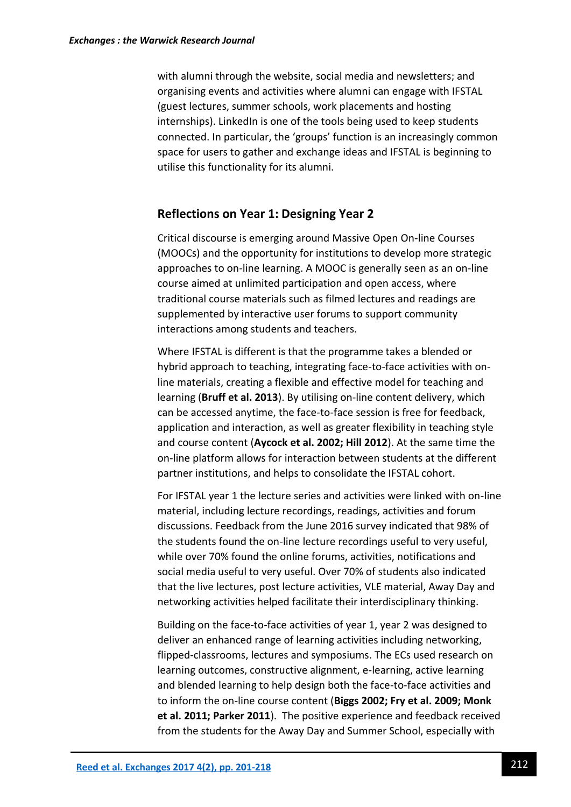with alumni through the website, social media and newsletters; and organising events and activities where alumni can engage with IFSTAL (guest lectures, summer schools, work placements and hosting internships). LinkedIn is one of the tools being used to keep students connected. In particular, the 'groups' function is an increasingly common space for users to gather and exchange ideas and IFSTAL is beginning to utilise this functionality for its alumni.

## **Reflections on Year 1: Designing Year 2**

Critical discourse is emerging around Massive Open On-line Courses (MOOCs) and the opportunity for institutions to develop more strategic approaches to on-line learning. A MOOC is generally seen as an on-line course aimed at unlimited participation and open access, where traditional course materials such as filmed lectures and readings are supplemented by interactive user forums to support community interactions among students and teachers.

Where IFSTAL is different is that the programme takes a blended or hybrid approach to teaching, integrating face-to-face activities with online materials, creating a flexible and effective model for teaching and learning (**Bruff et al. 2013**). By utilising on-line content delivery, which can be accessed anytime, the face-to-face session is free for feedback, application and interaction, as well as greater flexibility in teaching style and course content (**Aycock et al. 2002; Hill 2012**). At the same time the on-line platform allows for interaction between students at the different partner institutions, and helps to consolidate the IFSTAL cohort.

For IFSTAL year 1 the lecture series and activities were linked with on-line material, including lecture recordings, readings, activities and forum discussions. Feedback from the June 2016 survey indicated that 98% of the students found the on-line lecture recordings useful to very useful, while over 70% found the online forums, activities, notifications and social media useful to very useful. Over 70% of students also indicated that the live lectures, post lecture activities, VLE material, Away Day and networking activities helped facilitate their interdisciplinary thinking.

Building on the face-to-face activities of year 1, year 2 was designed to deliver an enhanced range of learning activities including networking, flipped-classrooms, lectures and symposiums. The ECs used research on learning outcomes, constructive alignment, e-learning, active learning and blended learning to help design both the face-to-face activities and to inform the on-line course content (**Biggs 2002; Fry et al. 2009; Monk et al. 2011; Parker 2011**). The positive experience and feedback received from the students for the Away Day and Summer School, especially with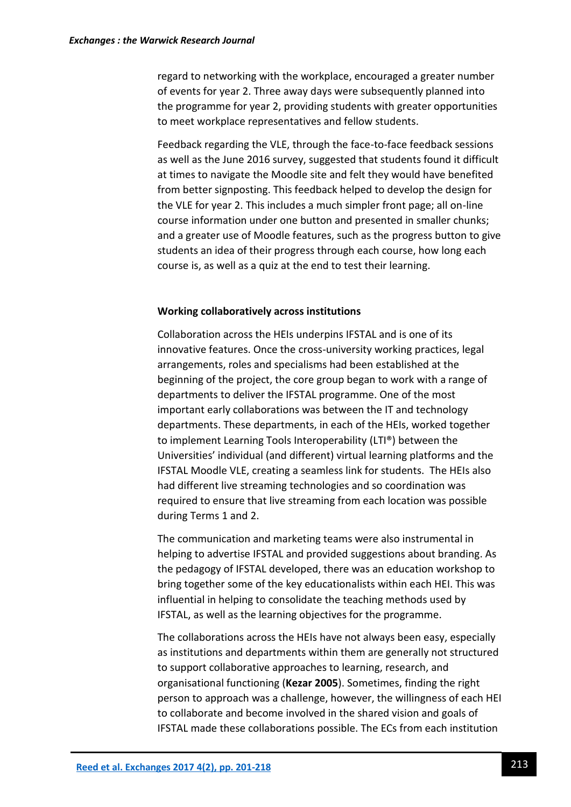regard to networking with the workplace, encouraged a greater number of events for year 2. Three away days were subsequently planned into the programme for year 2, providing students with greater opportunities to meet workplace representatives and fellow students.

Feedback regarding the VLE, through the face-to-face feedback sessions as well as the June 2016 survey, suggested that students found it difficult at times to navigate the Moodle site and felt they would have benefited from better signposting. This feedback helped to develop the design for the VLE for year 2. This includes a much simpler front page; all on-line course information under one button and presented in smaller chunks; and a greater use of Moodle features, such as the progress button to give students an idea of their progress through each course, how long each course is, as well as a quiz at the end to test their learning.

#### **Working collaboratively across institutions**

Collaboration across the HEIs underpins IFSTAL and is one of its innovative features. Once the cross-university working practices, legal arrangements, roles and specialisms had been established at the beginning of the project, the core group began to work with a range of departments to deliver the IFSTAL programme. One of the most important early collaborations was between the IT and technology departments. These departments, in each of the HEIs, worked together to implement Learning Tools Interoperability (LTI®) between the Universities' individual (and different) virtual learning platforms and the IFSTAL Moodle VLE, creating a seamless link for students. The HEIs also had different live streaming technologies and so coordination was required to ensure that live streaming from each location was possible during Terms 1 and 2.

The communication and marketing teams were also instrumental in helping to advertise IFSTAL and provided suggestions about branding. As the pedagogy of IFSTAL developed, there was an education workshop to bring together some of the key educationalists within each HEI. This was influential in helping to consolidate the teaching methods used by IFSTAL, as well as the learning objectives for the programme.

The collaborations across the HEIs have not always been easy, especially as institutions and departments within them are generally not structured to support collaborative approaches to learning, research, and organisational functioning (**Kezar 2005**). Sometimes, finding the right person to approach was a challenge, however, the willingness of each HEI to collaborate and become involved in the shared vision and goals of IFSTAL made these collaborations possible. The ECs from each institution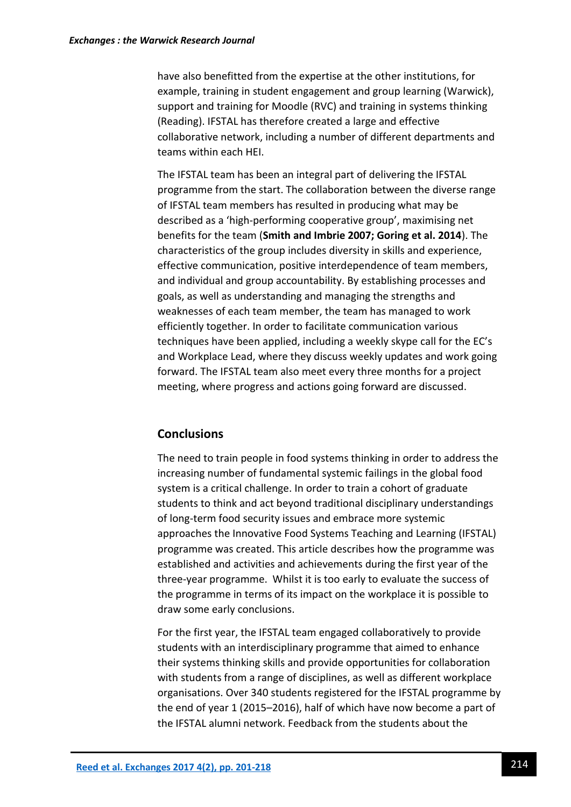have also benefitted from the expertise at the other institutions, for example, training in student engagement and group learning (Warwick), support and training for Moodle (RVC) and training in systems thinking (Reading). IFSTAL has therefore created a large and effective collaborative network, including a number of different departments and teams within each HEI.

The IFSTAL team has been an integral part of delivering the IFSTAL programme from the start. The collaboration between the diverse range of IFSTAL team members has resulted in producing what may be described as a 'high-performing cooperative group', maximising net benefits for the team (**Smith and Imbrie 2007; Goring et al. 2014**). The characteristics of the group includes diversity in skills and experience, effective communication, positive interdependence of team members, and individual and group accountability. By establishing processes and goals, as well as understanding and managing the strengths and weaknesses of each team member, the team has managed to work efficiently together. In order to facilitate communication various techniques have been applied, including a weekly skype call for the EC's and Workplace Lead, where they discuss weekly updates and work going forward. The IFSTAL team also meet every three months for a project meeting, where progress and actions going forward are discussed.

# **Conclusions**

The need to train people in food systems thinking in order to address the increasing number of fundamental systemic failings in the global food system is a critical challenge. In order to train a cohort of graduate students to think and act beyond traditional disciplinary understandings of long-term food security issues and embrace more systemic approaches the Innovative Food Systems Teaching and Learning (IFSTAL) programme was created. This article describes how the programme was established and activities and achievements during the first year of the three-year programme. Whilst it is too early to evaluate the success of the programme in terms of its impact on the workplace it is possible to draw some early conclusions.

For the first year, the IFSTAL team engaged collaboratively to provide students with an interdisciplinary programme that aimed to enhance their systems thinking skills and provide opportunities for collaboration with students from a range of disciplines, as well as different workplace organisations. Over 340 students registered for the IFSTAL programme by the end of year 1 (2015–2016), half of which have now become a part of the IFSTAL alumni network. Feedback from the students about the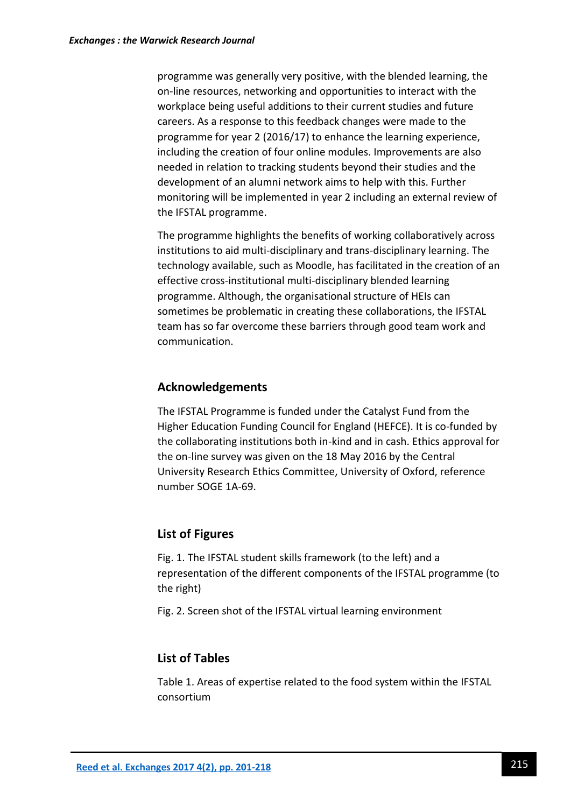programme was generally very positive, with the blended learning, the on-line resources, networking and opportunities to interact with the workplace being useful additions to their current studies and future careers. As a response to this feedback changes were made to the programme for year 2 (2016/17) to enhance the learning experience, including the creation of four online modules. Improvements are also needed in relation to tracking students beyond their studies and the development of an alumni network aims to help with this. Further monitoring will be implemented in year 2 including an external review of the IFSTAL programme.

The programme highlights the benefits of working collaboratively across institutions to aid multi-disciplinary and trans-disciplinary learning. The technology available, such as Moodle, has facilitated in the creation of an effective cross-institutional multi-disciplinary blended learning programme. Although, the organisational structure of HEIs can sometimes be problematic in creating these collaborations, the IFSTAL team has so far overcome these barriers through good team work and communication.

# **Acknowledgements**

The IFSTAL Programme is funded under the Catalyst Fund from the Higher Education Funding Council for England (HEFCE). It is co-funded by the collaborating institutions both in-kind and in cash. Ethics approval for the on-line survey was given on the 18 May 2016 by the Central University Research Ethics Committee, University of Oxford, reference number SOGE 1A-69.

## **List of Figures**

Fig. 1. The IFSTAL student skills framework (to the left) and a representation of the different components of the IFSTAL programme (to the right)

Fig. 2. Screen shot of the IFSTAL virtual learning environment

# **List of Tables**

Table 1. Areas of expertise related to the food system within the IFSTAL consortium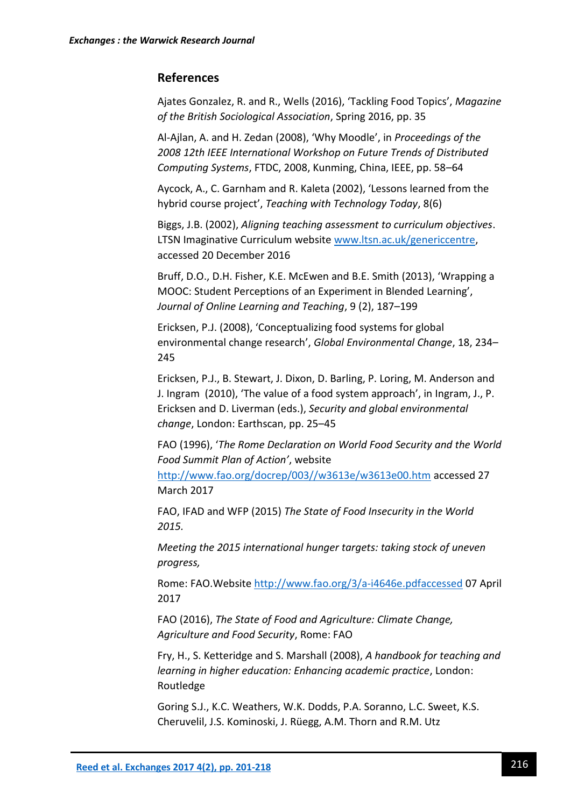## **References**

Ajates Gonzalez, R. and R., Wells (2016), 'Tackling Food Topics', *Magazine of the British Sociological Association*, Spring 2016, pp. 35

Al-Ajlan, A. and H. Zedan (2008), 'Why Moodle', in *Proceedings of the 2008 12th IEEE International Workshop on Future Trends of Distributed Computing Systems*, FTDC, 2008, Kunming, China, IEEE, pp. 58–64

Aycock, A., C. Garnham and R. Kaleta (2002), 'Lessons learned from the hybrid course project', *Teaching with Technology Today*, 8(6)

Biggs, J.B. (2002), *Aligning teaching assessment to curriculum objectives*. LTSN Imaginative Curriculum website [www.ltsn.ac.uk/genericcentre,](http://www.ltsn.ac.uk/genericcentre) accessed 20 December 2016

Bruff, D.O., D.H. Fisher, K.E. McEwen and B.E. Smith (2013), 'Wrapping a MOOC: Student Perceptions of an Experiment in Blended Learning', *Journal of Online Learning and Teaching*, 9 (2), 187–199

Ericksen, P.J. (2008), 'Conceptualizing food systems for global environmental change research', *Global Environmental Change*, 18, 234– 245

Ericksen, P.J., B. Stewart, J. Dixon, D. Barling, P. Loring, M. Anderson and J. Ingram (2010), 'The value of a food system approach', in Ingram, J., P. Ericksen and D. Liverman (eds.), *Security and global environmental change*, London: Earthscan, pp. 25–45

FAO (1996), '*The Rome Declaration on World Food Security and the World Food Summit Plan of Action'*, website

[http://www.fao.org/docrep/003//w3613e/w3613e00.htm](http://www.fao.org/docrep/003/w3613e/w3613e00.htm) accessed 27 March 2017

FAO, IFAD and WFP (2015) *The State of Food Insecurity in the World 2015.*

*Meeting the 2015 international hunger targets: taking stock of uneven progress,*

Rome: FAO.Website <http://www.fao.org/3/a-i4646e.pdfaccessed> 07 April 2017

FAO (2016), *The State of Food and Agriculture: Climate Change, Agriculture and Food Security*, Rome: FAO

Fry, H., S. Ketteridge and S. Marshall (2008), *A handbook for teaching and learning in higher education: Enhancing academic practice*, London: Routledge

Goring S.J., K.C. Weathers, W.K. Dodds, P.A. Soranno, L.C. Sweet, K.S. Cheruvelil, J.S. Kominoski, J. Rüegg, A.M. Thorn and R.M. Utz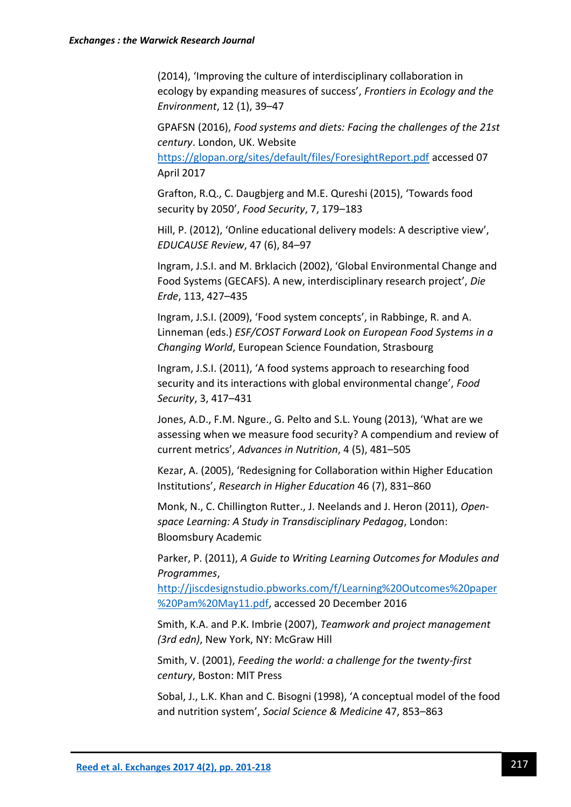(2014), 'Improving the culture of interdisciplinary collaboration in ecology by expanding measures of success', *Frontiers in Ecology and the Environment*, 12 (1), 39–47

GPAFSN (2016), *Food systems and diets: Facing the challenges of the 21st century*. London, UK. Website

<https://glopan.org/sites/default/files/ForesightReport.pdf> accessed 07 April 2017

Grafton, R.Q., C. Daugbjerg and M.E. Qureshi (2015), 'Towards food security by 2050', *Food Security*, 7, 179–183

Hill, P. (2012), 'Online educational delivery models: A descriptive view', *EDUCAUSE Review*, 47 (6), 84–97

Ingram, J.S.I. and M. Brklacich (2002), 'Global Environmental Change and Food Systems (GECAFS). A new, interdisciplinary research project', *Die Erde*, 113, 427–435

Ingram, J.S.I. (2009), 'Food system concepts', in Rabbinge, R. and A. Linneman (eds.) *ESF/COST Forward Look on European Food Systems in a Changing World*, European Science Foundation, Strasbourg

Ingram, J.S.I. (2011), 'A food systems approach to researching food security and its interactions with global environmental change', *Food Security*, 3, 417–431

Jones, A.D., F.M. Ngure., G. Pelto and S.L. Young (2013), 'What are we assessing when we measure food security? A compendium and review of current metrics', *Advances in Nutrition*, 4 (5), 481–505

Kezar, A. (2005), 'Redesigning for Collaboration within Higher Education Institutions', *Research in Higher Education* 46 (7), 831–860

Monk, N., C. Chillington Rutter., J. Neelands and J. Heron (2011), *Openspace Learning: A Study in Transdisciplinary Pedagog*, London: Bloomsbury Academic

Parker, P. (2011), *A Guide to Writing Learning Outcomes for Modules and Programmes*,

[http://jiscdesignstudio.pbworks.com/f/Learning%20Outcomes%20paper](http://jiscdesignstudio.pbworks.com/f/Learning%20Outcomes%20paper%20Pam%20May11.pdf) [%20Pam%20May11.pdf,](http://jiscdesignstudio.pbworks.com/f/Learning%20Outcomes%20paper%20Pam%20May11.pdf) accessed 20 December 2016

Smith, K.A. and P.K. Imbrie (2007), *Teamwork and project management (3rd edn)*, New York, NY: McGraw Hill

Smith, V. (2001), *Feeding the world: a challenge for the twenty-first century*, Boston: MIT Press

Sobal, J., L.K. Khan and C. Bisogni (1998), 'A conceptual model of the food and nutrition system', *Social Science & Medicine* 47, 853–863